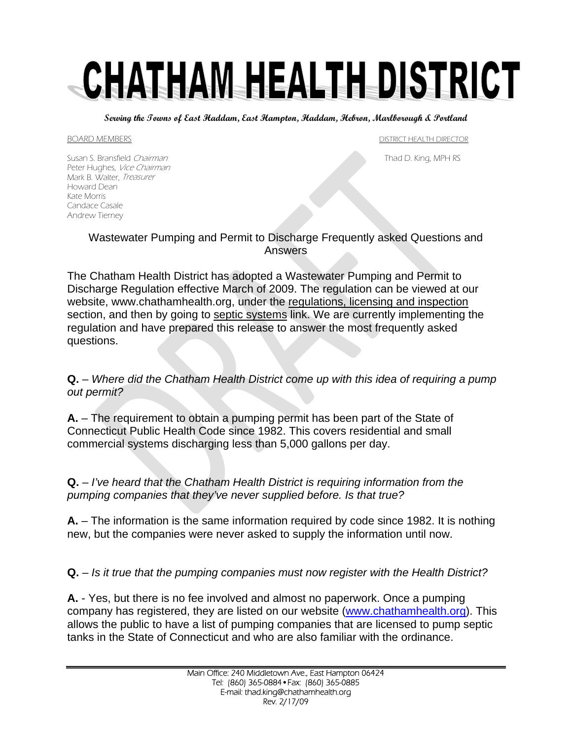# CHATHAM HEALTH DISTRICT

**Serving the Towns of East Haddam, East Hampton, Haddam, Hebron, Marlborough & Portland** 

BOARD MEMBERS **Example 20 and 20 and 20 and 20 and 20 and 20 and 20 and 20 and 20 and 20 and 20 and 20 and 20 and 20 and 20 and 20 and 20 and 20 and 20 and 20 and 20 and 20 and 20 and 20 and 20 and 20 and 20 and 20 and 20** 

Susan S. Bransfield *Chairman* Thad D. King, MPH RS Peter Hughes, Vice Chairman Mark B. Walter, Treasurer Howard Dean Kate Morris Candace Casale Andrew Tierney

#### Wastewater Pumping and Permit to Discharge Frequently asked Questions and Answers

The Chatham Health District has adopted a Wastewater Pumping and Permit to Discharge Regulation effective March of 2009. The regulation can be viewed at our website, www.chathamhealth.org, under the regulations, licensing and inspection section, and then by going to septic systems link. We are currently implementing the regulation and have prepared this release to answer the most frequently asked questions.

#### **Q.** – *Where did the Chatham Health District come up with this idea of requiring a pump out permit?*

**A.** – The requirement to obtain a pumping permit has been part of the State of Connecticut Public Health Code since 1982. This covers residential and small commercial systems discharging less than 5,000 gallons per day.

#### **Q.** – *I've heard that the Chatham Health District is requiring information from the pumping companies that they've never supplied before. Is that true?*

**A.** – The information is the same information required by code since 1982. It is nothing new, but the companies were never asked to supply the information until now.

**Q.** – *Is it true that the pumping companies must now register with the Health District?* 

**A.** - Yes, but there is no fee involved and almost no paperwork. Once a pumping company has registered, they are listed on our website [\(www.chathamhealth.org\)](http://www.chathamhealth.org/). This allows the public to have a list of pumping companies that are licensed to pump septic tanks in the State of Connecticut and who are also familiar with the ordinance.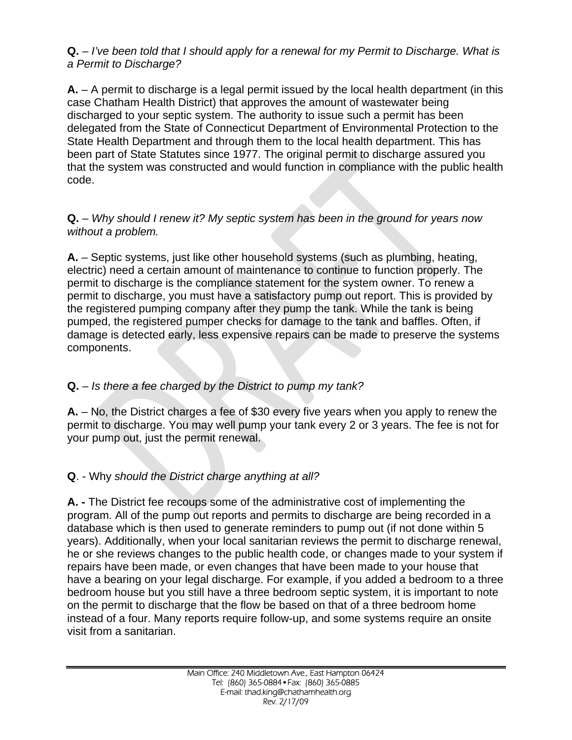# **Q.** – *I've been told that I should apply for a renewal for my Permit to Discharge. What is a Permit to Discharge?*

**A.** – A permit to discharge is a legal permit issued by the local health department (in this case Chatham Health District) that approves the amount of wastewater being discharged to your septic system. The authority to issue such a permit has been delegated from the State of Connecticut Department of Environmental Protection to the State Health Department and through them to the local health department. This has been part of State Statutes since 1977. The original permit to discharge assured you that the system was constructed and would function in compliance with the public health code.

#### **Q.** – *Why should I renew it? My septic system has been in the ground for years now without a problem.*

**A.** – Septic systems, just like other household systems (such as plumbing, heating, electric) need a certain amount of maintenance to continue to function properly. The permit to discharge is the compliance statement for the system owner. To renew a permit to discharge, you must have a satisfactory pump out report. This is provided by the registered pumping company after they pump the tank. While the tank is being pumped, the registered pumper checks for damage to the tank and baffles. Often, if damage is detected early, less expensive repairs can be made to preserve the systems components.

# **Q.** – *Is there a fee charged by the District to pump my tank?*

**A.** – No, the District charges a fee of \$30 every five years when you apply to renew the permit to discharge. You may well pump your tank every 2 or 3 years. The fee is not for your pump out, just the permit renewal.

# **Q**. - Why *should the District charge anything at all?*

**A. -** The District fee recoups some of the administrative cost of implementing the program. All of the pump out reports and permits to discharge are being recorded in a database which is then used to generate reminders to pump out (if not done within 5 years). Additionally, when your local sanitarian reviews the permit to discharge renewal, he or she reviews changes to the public health code, or changes made to your system if repairs have been made, or even changes that have been made to your house that have a bearing on your legal discharge. For example, if you added a bedroom to a three bedroom house but you still have a three bedroom septic system, it is important to note on the permit to discharge that the flow be based on that of a three bedroom home instead of a four. Many reports require follow-up, and some systems require an onsite visit from a sanitarian.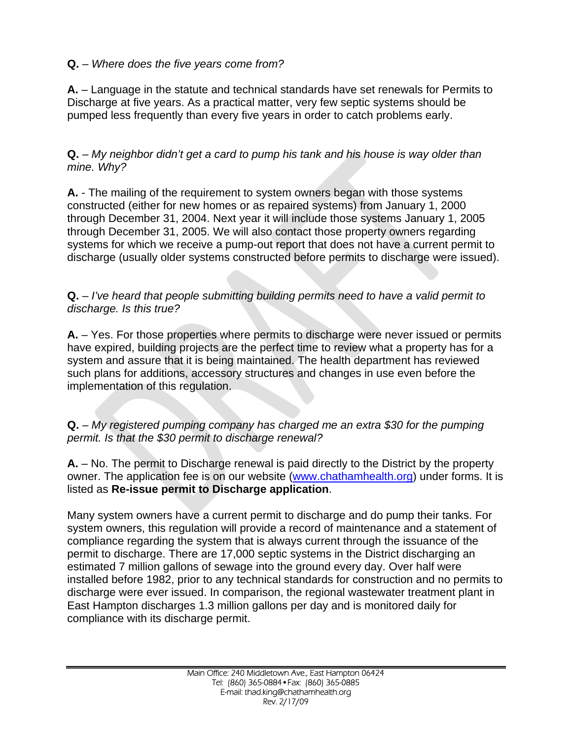## **Q.** – *Where does the five years come from?*

**A.** – Language in the statute and technical standards have set renewals for Permits to Discharge at five years. As a practical matter, very few septic systems should be pumped less frequently than every five years in order to catch problems early.

**Q.** – *My neighbor didn't get a card to pump his tank and his house is way older than mine. Why?*

**A.** - The mailing of the requirement to system owners began with those systems constructed (either for new homes or as repaired systems) from January 1, 2000 through December 31, 2004. Next year it will include those systems January 1, 2005 through December 31, 2005. We will also contact those property owners regarding systems for which we receive a pump-out report that does not have a current permit to discharge (usually older systems constructed before permits to discharge were issued).

**Q.** – *I've heard that people submitting building permits need to have a valid permit to discharge. Is this true?*

**A.** – Yes. For those properties where permits to discharge were never issued or permits have expired, building projects are the perfect time to review what a property has for a system and assure that it is being maintained. The health department has reviewed such plans for additions, accessory structures and changes in use even before the implementation of this regulation.

**Q.** – *My registered pumping company has charged me an extra \$30 for the pumping permit. Is that the \$30 permit to discharge renewal?*

**A.** – No. The permit to Discharge renewal is paid directly to the District by the property owner. The application fee is on our website [\(www.chathamhealth.org](http://www.chathamhealth.org/)) under forms. It is listed as **Re-issue permit to Discharge application**.

Many system owners have a current permit to discharge and do pump their tanks. For system owners, this regulation will provide a record of maintenance and a statement of compliance regarding the system that is always current through the issuance of the permit to discharge. There are 17,000 septic systems in the District discharging an estimated 7 million gallons of sewage into the ground every day. Over half were installed before 1982, prior to any technical standards for construction and no permits to discharge were ever issued. In comparison, the regional wastewater treatment plant in East Hampton discharges 1.3 million gallons per day and is monitored daily for compliance with its discharge permit.